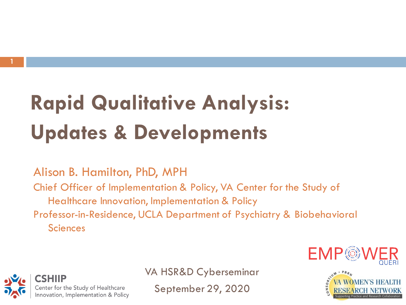**1**

# **Updates & Developments Rapid Qualitative Analysis:**

Alison B. Hamilton, PhD, MPH

 Chief Officer of Implementation & Policy, VA Center for the Study of Healthcare Innovation, Implementation & Policy Professor-in-Residence, UCLA Department of Psychiatry & Biobehavioral

**Sciences** 



CSHIIP Center for the Study of Healthcare Innovation, Implementation & Policy VA HSR&D Cyberseminar

September 29, 2020

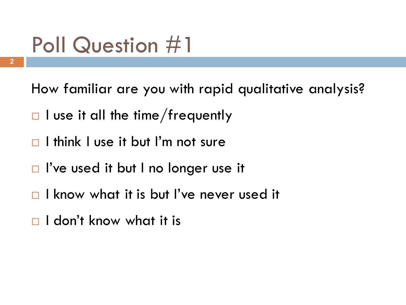# Poll Question #1

**2**

How familiar are you with rapid qualitative analysis?

- $\Box$  I use it all the time/frequently
- I think I use it but I'm not sure
- □ I've used it but I no longer use it
- I know what it is but I've never used it
- $\square$  I don't know what it is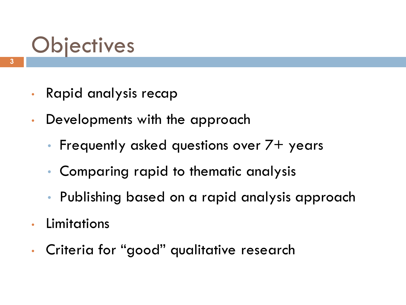# **Objectives**

- Rapid analysis recap
- • Developments with the approach
	- Frequently asked questions over  $7+$  years
	- Comparing rapid to thematic analysis
	- Publishing based on a rapid analysis approach
- Limitations
- Criteria for "good" qualitative research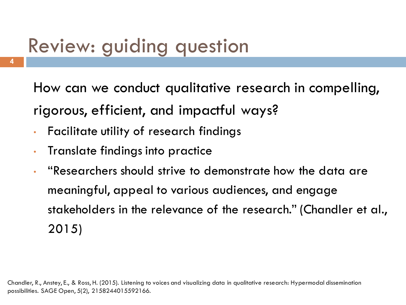## Review: guiding question

 How can we conduct qualitative research in compelling, rigorous, efficient, and impactful ways?

- Facilitate utility of research findings
- Translate findings into practice
- meaningful, appeal to various audiences, and engage stakeholders in the relevance of the research." (Chandler et al., • "Researchers should strive to demonstrate how the data are 2015)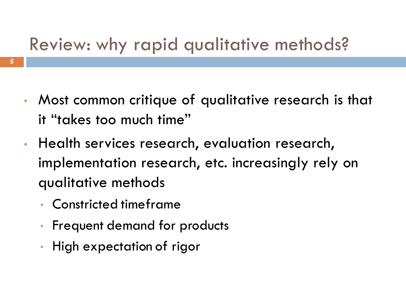## Review: why rapid qualitative methods?

- • Most common critique of qualitative research is that it "takes too much time"
- Health services research, evaluation research, implementation research, etc. increasingly rely on qualitative methods
	- Constricted timeframe
	- Frequent demand for products
	- High expectation of rigor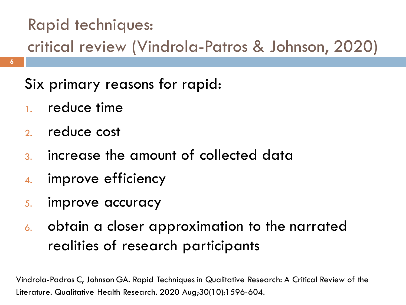### Rapid techniques:

critical review (Vindrola-Patros & Johnson, 2020)

Six primary reasons for rapid:

1. reduce time

**6**

- 2. reduce cost
- 3. increase the amount of collected data
- 4. improve efficiency
- 5. improve accuracy
- 6. obtain a closer approximation to the narrated realities of research participants

 Vindrola-Padros C, Johnson GA. Rapid Techniques in Qualitative Research: A Critical Review of the Literature. Qualitative Health Research. 2020 Aug;30(10):1596-604.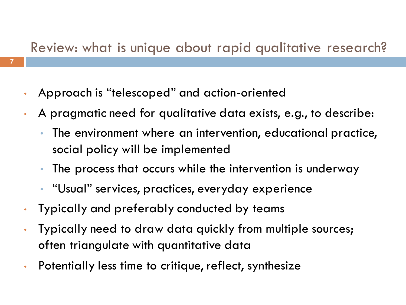### Review: what is unique about rapid qualitative research?

- Approach is "telescoped" and action-oriented
- • A pragmatic need for qualitative data exists, e.g., to describe:
	- • The environment where an intervention, educational practice, social policy will be implemented
	- The process that occurs while the intervention is underway
	- "Usual" services, practices, everyday experience
- Typically and preferably conducted by teams
- Typically need to draw data quickly from multiple sources; often triangulate with quantitative data
- Potentially less time to critique, reflect, synthesize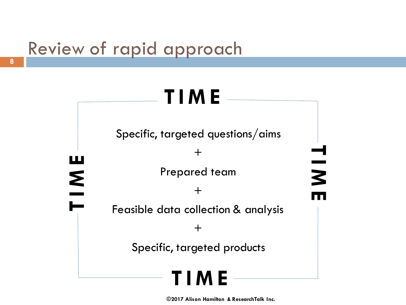## Review of rapid approach

# **T I M E**

Specific, targeted questions/aims

 $+$ 

**T**

 **M**

**E** 

**T I M E** 

 Feasible data collection & analysis Prepared team  $+$  $+$ 

Specific, targeted products



 **©2017 Alison Hamilton & ResearchTalk Inc.**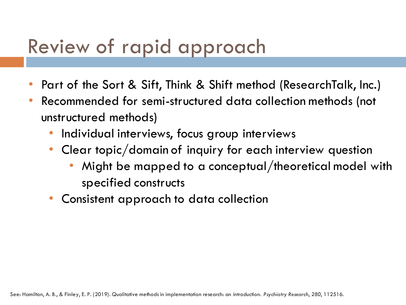## Review of rapid approach

- Part of the Sort & Sift, Think & Shift method (ResearchTalk, Inc.)
- • Recommended for semi-structured data collection methods (not unstructured methods)
	- Individual interviews, focus group interviews
	- • Clear topic/domain of inquiry for each interview question
		- • Might be mapped to a conceptual/theoretical model with specified constructs
	- Consistent approach to data collection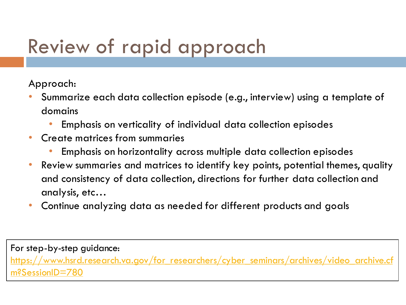# Review of rapid approach

Approach:

- • Summarize each data collection episode (e.g., interview) using a template of domains
	- Emphasis on verticality of individual data collection episodes
- • Create matrices from summaries
	- Emphasis on horizontality across multiple data collection episodes
- • Review summaries and matrices to identify key points, potential themes, quality and consistency of data collection, directions for further data collection and analysis, etc…
- Continue analyzing data as needed for different products and goals

For step-by-step guidance: [https://www.hsrd.research.va.gov/for\\_researchers/cyber\\_seminars/archives/video\\_archive.cf](https://www.hsrd.research.va.gov/for_researchers/cyber_seminars/archives/video_archive.cfm?SessionID=780) m?SessionID=780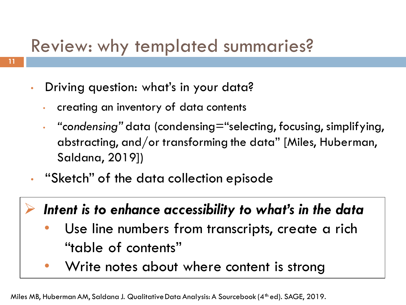## Review: why templated summaries?

- • Driving question: what's in your data?
	- creating an inventory of data contents
	- • *"condensing"* data (condensing="selecting, focusing, simplifying, abstracting, and/or transforming the data" [Miles, Huberman, Saldana, 2019])
- "Sketch" of the data collection episode

### ➢ *Intent is to enhance accessibility to what's in the data*

- • Use line numbers from transcripts, create a rich "table of contents"
- Write notes about where content is strong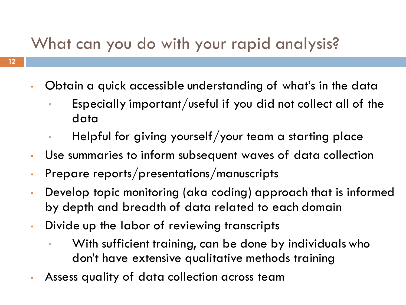### What can you do with your rapid analysis?

- • Obtain a quick accessible understanding of what's in the data
	- Especially important/useful if you did not collect all of the data
	- Helpful for giving yourself/your team a starting place
- Use summaries to inform subsequent waves of data collection
- Prepare reports/presentations/manuscripts
- • Develop topic monitoring (aka coding) approach that is informed by depth and breadth of data related to each domain
- • Divide up the labor of reviewing transcripts
	- • With sufficient training, can be done by individuals who don't have extensive qualitative methods training
- Assess quality of data collection across team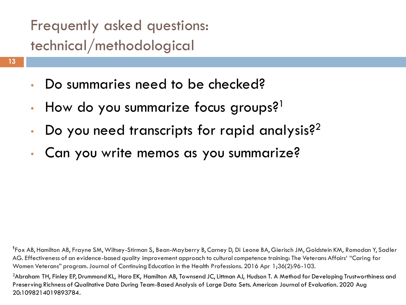### Frequently asked questions: technical/methodological

- Do summaries need to be checked?
- How do you summarize focus groups? $1$
- Do you need transcripts for rapid analysis? $^{2}$
- Can you write memos as you summarize?

 **<sup>1</sup>**Fox AB, Hamilton AB, Frayne SM, Wiltsey-Stirman S, Bean-Mayberry B, Carney D, Di Leone BA, Gierisch JM, Goldstein KM, Romodan Y, Sadler AG. Effectiveness of an evidence-based quality improvement approach to cultural competence training: The Veterans Affairs' "Caring for Women Veterans" program.Journal of Continuing Education in the Health Professions. 2016 Apr 1;36(2):96-103.

 $^2$ Abraham TH, Finley EP, Drummond KL, Haro EK, Hamilton AB, Townsend JC, Littman AJ, Hudson T. A Method for Developing Trustworthiness and Preserving Richness of Qualitative Data During Team-Based Analysis of Large Data Sets. American Journal of Evaluation. 2020 Aug 20:1098214019893784.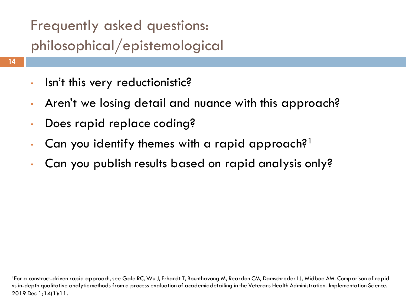### Frequently asked questions: philosophical/epistemological

- Isn't this very reductionistic?
- Aren't we losing detail and nuance with this approach?
- Does rapid replace coding?
- Can you identify themes with a rapid approach?<sup>1</sup>
- Can you publish results based on rapid analysis only?

<sup>&</sup>lt;sup>1</sup>For a construct-driven rapid approach, see Gale RC, Wu J, Erhardt T, Bounthavong M, Reardon CM, Damschroder LJ, Midboe AM. Comparison of rapid vs in-depth qualitative analytic methods from a process evaluation of academic detailing in the Veterans Health Administration. Implementation Science. 2019 Dec 1;14(1):11.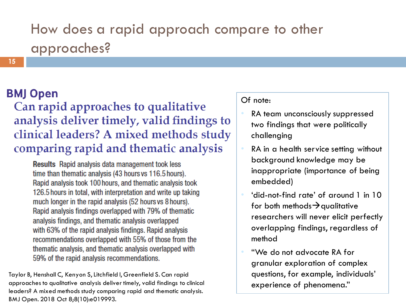### How does a rapid approach compare to other approaches?

#### **BMJ Open**

Can rapid approaches to qualitative analysis deliver timely, valid findings to clinical leaders? A mixed methods study comparing rapid and thematic analysis

**Results** Rapid analysis data management took less time than thematic analysis (43 hours vs 116.5 hours). Rapid analysis took 100 hours, and thematic analysis took 126.5 hours in total, with interpretation and write up taking much longer in the rapid analysis (52 hours vs 8 hours). Rapid analysis findings overlapped with 79% of thematic analysis findings, and thematic analysis overlapped with 63% of the rapid analysis findings. Rapid analysis recommendations overlapped with 55% of those from the thematic analysis, and thematic analysis overlapped with 59% of the rapid analysis recommendations.

 Taylor B, Henshall C, Kenyon S, Litchfield I, Greenfield S. Can rapid approaches to qualitative analysis deliver timely, valid findings to clinical leaders? A mixed methods study comparing rapid and thematic analysis. BMJ Open. 2018 Oct 8;8(10):e019993.

#### Of note:

- two findings that were politically RA team unconsciously suppressed challenging
- • RA in a health service setting without background knowledge may be inappropriate (importance of being embedded)
- • 'did-not-find rate' of around 1 in 10 for both methods $\rightarrow$ qualitative researchers will never elicit perfectly overlapping findings, regardless of method
- • "We do not advocate RA for granular exploration of complex questions, for example, individuals' experience of phenomena."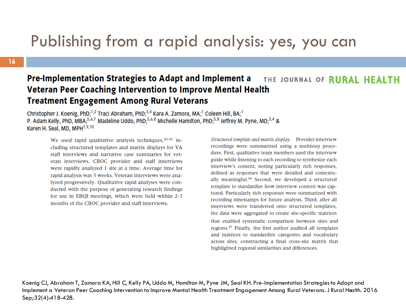### Publishing from a rapid analysis: yes, you can

#### **16**

#### **Pre-Implementation Strategies to Adapt and Implement a** THE JOURNAL OF RURAL HEALTH Veteran Peer Coaching Intervention to Improve Mental Health **Treatment Engagement Among Rural Veterans**

Christopher J. Koenig, PhD;<sup>1,2</sup> Traci Abraham, PhD;<sup>3,4</sup> Kara A. Zamora, MA;<sup>1</sup> Coleen Hill, BA;<sup>1</sup> P. Adam Kelly, PhD, MBA<sup>5,6,7</sup> Madeline Uddo, PhD;<sup>5,6,8</sup> Michelle Hamilton, PhD;<sup>5,8</sup> Jeffrey M. Pyne, MD;<sup>3,4</sup> & Karen H. Seal, MD, MPH<sup>1,9,10</sup>

We used rapid qualitative analysis techniques, 40-43 including structured templates and matrix displays for VA staff interviews and narrative case summaries for veteran interviews. CBOC provider and staff interviews were rapidly analyzed 1 site at a time. Average time for rapid analysis was 3 weeks. Veteran interviews were analyzed progressively. Qualitative rapid analyses were conducted with the purpose of generating research findings for use in EBQI meetings, which were held within 2-3 months of the CBOC provider and staff interviews.

Structured template and matrix display. Provider interview recordings were summarized using a multistep procedure. First, qualitative team members used the interview guide while listening to each recording to synthesize each interview's content, noting particularly rich responses, defined as responses that were detailed and contextually meaningful.<sup>44</sup> Second, we developed a structured template to standardize how interview content was captured. Particularly rich responses were summarized with recording timestamps for future analysis. Third, after all interviews were transferred onto structured templates, the data were aggregated to create site-specific matrices that enabled systematic comparison between sites and regions.<sup>45</sup> Finally, the first author audited all templates and matrices to standardize categories and vocabulary across sites, constructing a final cross-site matrix that highlighted regional similarities and differences.

 Koenig CJ, Abraham T, Zamora KA, Hill C, Kelly PA, Uddo M, Hamilton M, Pyne JM, Seal KH. Pre-Implementation Strategies to Adapt and Implement a Veteran Peer Coaching Intervention to Improve Mental Health Treatment Engagement Among Rural Veterans. J Rural Health. 2016 Sep;32(4):418-428.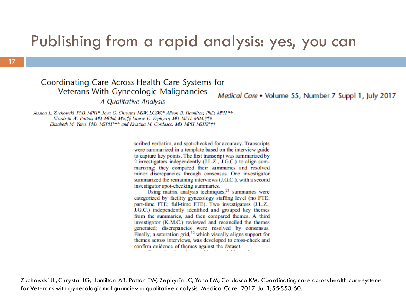### Publishing from a rapid analysis: yes, you can

#### Coordinating Care Across Health Care Systems for Veterans With Gynecologic Malignancies

A Qualitative Analysis

Medical Care • Volume 55, Number 7 Suppl 1, July 2017

Jessica L. Zuchowski, PhD, MPH\* Joya G. Chrystal, MSW, LCSW,\* Alison B. Hamilton, PhD, MPH,\*† Elizabeth W. Patton, MD, MPhil, MSc, *I§* Laurie C. Zephyrin, MD, MPH, MBA, ||¶# Elizabeth M. Yano, PhD, MSPH<sup>\*\*\*</sup> and Kristina M. Cordasco, MD, MPH, MSHS<sup>\*</sup> it

> scribed verbatim, and spot-checked for accuracy. Transcripts were summarized in a template based on the interview guide to capture key points. The first transcript was summarized by 2 investigators independently (J.L.Z., J.G.C.) to align summarizing: they compared their summaries and resolved minor discrepancies through consensus. One investigator summarized the remaining interviews (J.G.C.), with a second investigator spot-checking summaries.

> Using matrix analysis techniques, $21$  summaries were categorized by facility gynecology staffing level (no FTE; part-time FTE: full-time FTE). Two investigators (J.L.Z., J.G.C.) independently identified and grouped key themes from the summaries, and then compared themes. A third investigator (K.M.C.) reviewed and reconciled the themes generated; discrepancies were resolved by consensus. Finally, a saturation  $grid^{22}$ , which visually aligns support for themes across interviews, was developed to cross-check and confirm evidence of themes against the dataset.

 Zuchowski JL, Chrystal JG, Hamilton AB, Patton EW, Zephyrin LC, Yano EM, Cordasco KM. Coordinating care across health care systems for Veterans with gynecologic malignancies: a qualitative analysis. Medical Care. 2017 Jul 1;55:S53-60.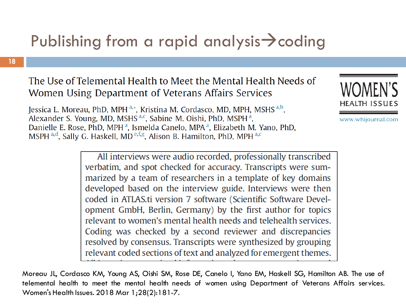## Publishing from a rapid analysis→coding

#### The Use of Telemental Health to Meet the Mental Health Needs of Women Using Department of Veterans Affairs Services

Jessica L. Moreau, PhD, MPH<sup>a,\*</sup>, Kristina M. Cordasco, MD, MPH, MSHS<sup>a,b</sup>, Alexander S. Young, MD, MSHS<sup>a,c</sup>, Sabine M. Oishi, PhD, MSPH<sup>a</sup>, Danielle E. Rose, PhD, MPH<sup>a</sup>, Ismelda Canelo, MPA<sup>a</sup>, Elizabeth M. Yano, PhD, MSPH a,d, Sally G. Haskell, MD e,f,g, Alison B. Hamilton, PhD, MPH a,c



www.whijournal.com

All interviews were audio recorded, professionally transcribed verbatim, and spot checked for accuracy. Transcripts were summarized by a team of researchers in a template of key domains developed based on the interview guide. Interviews were then coded in ATLAS.ti version 7 software (Scientific Software Development GmbH, Berlin, Germany) by the first author for topics relevant to women's mental health needs and telehealth services. Coding was checked by a second reviewer and discrepancies resolved by consensus. Transcripts were synthesized by grouping relevant coded sections of text and analyzed for emergent themes.

Moreau JL, Cordasco KM, Young AS, Oishi SM, Rose DE, Canelo I, Yano EM, Haskell SG, Hamilton AB. The use of telemental health to meet the mental health needs of women using Department of Veterans Affairs services. Women's Health Issues. 2018 Mar 1;28(2):181-7.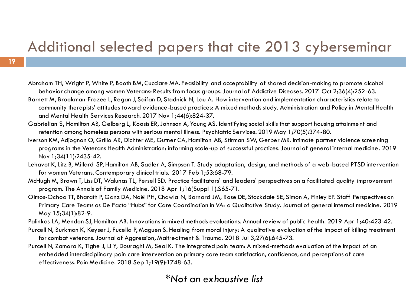### Additional selected papers that cite 2013 cyberseminar

- Abraham TH, Wright P, White P, Booth BM, Cucciare MA. Feasibility and acceptability of shared decision-making to promote alcohol behavior change among women Veterans: Results from focus groups. Journal of Addictive Diseases. 2017 Oct 2;36(4):252-63.
- Barnett M, Brookman-Frazee L, Regan J, Saifan D, Stadnick N, Lau A. How intervention and implementation characteristics relate to community therapists' attitudes toward evidence-based practices: A mixed methods study. Administration and Policy in Mental Health and Mental Health Services Research. 2017 Nov 1;44(6):824-37.
- Gabrielian S, Hamilton AB, Gelberg L, Koosis ER, Johnson A, Young AS. Identifying social skills that support housing attainment and retention among homeless persons with serious mental illness. Psychiatric Services. 2019 May 1;70(5):374-80.
- Iverson KM, Adjognon O, Grillo AR, Dichter ME, Gutner CA, Hamilton AB, Stirman SW, Gerber MR. Intimate partner violence scree ning programs in the Veterans Health Administration: informing scale-up of successful practices. Journal of general internal medicine. 2019 Nov 1;34(11):2435-42.
- Lehavot K, Litz B, Millard SP, Hamilton AB, Sadler A, Simpson T. Study adaptation, design, and methods of a web-based PTSD intervention for women Veterans. Contemporary clinical trials. 2017 Feb 1;53:68-79.
- McHugh M, Brown T, Liss DT, Walunas TL, Persell SD. Practice facilitators' and leaders' perspectives on a facilitated quality improvement program. The Annals of Family Medicine. 2018 Apr 1;16(Suppl 1):S65-71.
- Olmos-Ochoa TT, Bharath P, Ganz DA, Noël PH, Chawla N, Barnard JM, Rose DE, Stockdale SE, Simon A, Finley EP. Staff Perspectives on Primary Care Teams as De Facto "Hubs" for Care Coordination in VA: a Qualitative Study.Journal of general internal medicine. 2019 May 15;34(1):82-9.
- Palinkas LA, Mendon SJ, Hamilton AB. Innovations in mixed methods evaluations. Annual review of public health. 2019 Apr 1;40:423-42.
- Purcell N, Burkman K, Keyser J, Fucella P, Maguen S. Healing from moral injury: A qualitative evaluation of the impact of killing treatment for combat veterans. Journal of Aggression, Maltreatment & Trauma. 2018 Jul 3;27(6):645-73.
- Purcell N, Zamora K, Tighe J, Li Y, Douraghi M, Seal K. The integrated pain team: A mixed-methods evaluation of the impact of an embedded interdisciplinary pain care intervention on primary care team satisfaction, confidence, and perceptions of care effectiveness. Pain Medicine. 2018 Sep 1;19(9):1748-63.

#### *\*Not an exhaustive list*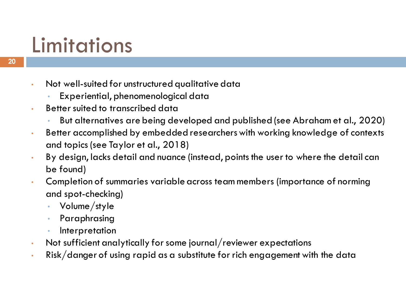# Limitations

- • Not well-suited for unstructured qualitative data
	- Experiential, phenomenological data
- • Better suited to transcribed data
	- But alternatives are being developed and published (see Abraham et al., 2020)
- • Better accomplished by embedded researchers with working knowledge of contexts and topics (see Taylor et al., 2018)
- • By design, lacks detail and nuance (instead, points the user to where the detail can be found)
- • Completion of summaries variable across team members (importance of norming and spot-checking)
	- Volume/style
	- Paraphrasing
	- **Interpretation**
- Not sufficient analytically for some journal/reviewer expectations
- $\bm{\cdot}$  Risk/danger of using rapid as a substitute for rich engagement with the data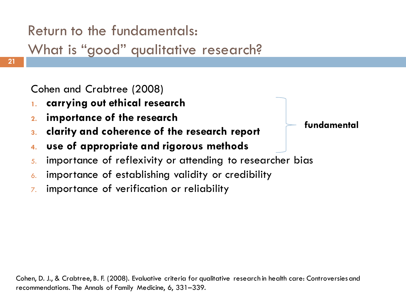### Return to the fundamentals:

What is "good" qualitative research?

Cohen and Crabtree (2008)

- **1. carrying out ethical research**
- 
- **3. clarity and coherence of the research report 2. importance of the research fundamental**
- **4. use of appropriate and rigorous methods**
- 5. importance of reflexivity or attending to researcher bias
- 6. importance of establishing validity or credibility
- $\bar{z}$  importance of verification or reliability

 Cohen, D. J., & Crabtree, B. F. (2008). Evaluative criteria for qualitative research in health care: Controversiesand recommendations. The Annals of Family Medicine, 6, 331–339.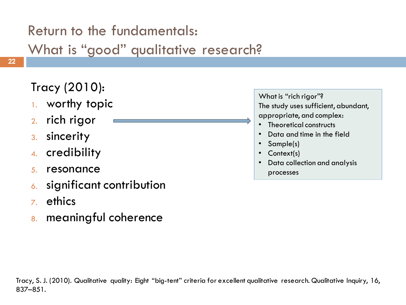### Return to the fundamentals:

What is "good" qualitative research?

### Tracy (2010):

- 1. worthy topic
- 2. rich rigor
- 3. sincerity
- 4. credibility
- 5. resonance
- 6. significant contribution
- 7. ethics
- 8. meaningful coherence

 What is "rich rigor"? The study uses sufficient, abundant, appropriate, and complex:

- Theoretical constructs
- Data and time in the field
- Sample(s)
- Context(s)
- • Data collection and analysis processes

 Tracy, S.J. (2010). Qualitative quality: Eight "big-tent" criteria for excellent qualitative research. Qualitative Inquiry, 16, 837–851.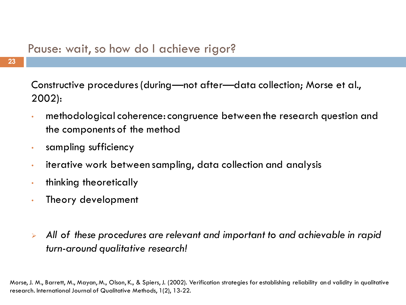#### Pause: wait, so how do I achieve rigor?

**23**

 Constructive procedures (during—not after—data collection; Morse et al., 2002):

- • methodological coherence: congruence between the research question and the components of the method
- sampling sufficiency
- iterative work between sampling, data collection and analysis
- thinking theoretically
- Theory development
- ➢ *All of these procedures are relevant and important to and achievable in rapid turn-around qualitative research!*

 Morse, J. M., Barrett, M., Mayan, M., Olson, K., & Spiers, J. (2002). Verification strategies for establishing reliability and validity in qualitative research. International Journal of Qualitative Methods, 1(2), 13-22.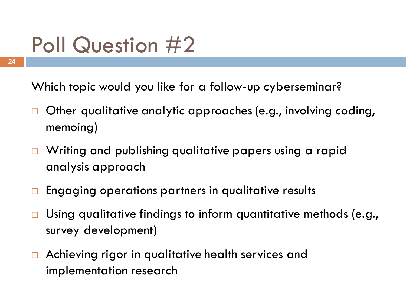# Poll Question #2

Which topic would you like for a follow-up cyberseminar?

- Other qualitative analytic approaches (e.g., involving coding,  $\Box$ memoing)
- Writing and publishing qualitative papers using a rapid  $\Box$ analysis approach
- $\Box$ Engaging operations partners in qualitative results
- $\Box$ Using qualitative findings to inform quantitative methods (e.g., survey development)
- Achieving rigor in qualitative health services and  $\Box$ implementation research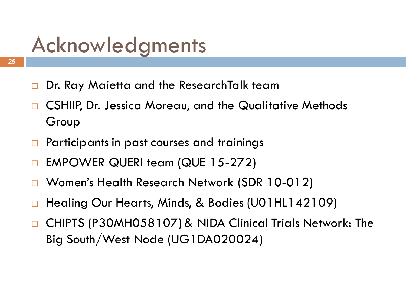# Acknowledgments

- $\Box$ Dr. Ray Maietta and the ResearchTalk team
- CSHIIP, Dr. Jessica Moreau, and the Qualitative Methods  $\Box$ Group
- Participants in past courses and trainings  $\Box$
- EMPOWER QUERI team (QUE 15-272)  $\Box$
- Women's Health Research Network (SDR 10-012)  $\Box$
- Healing Our Hearts, Minds, & Bodies (U01HL142109)  $\Box$
- CHIPTS (P30MH058107) & NIDA Clinical Trials Network: The Big South/West Node (UG1DA020024)  $\Box$